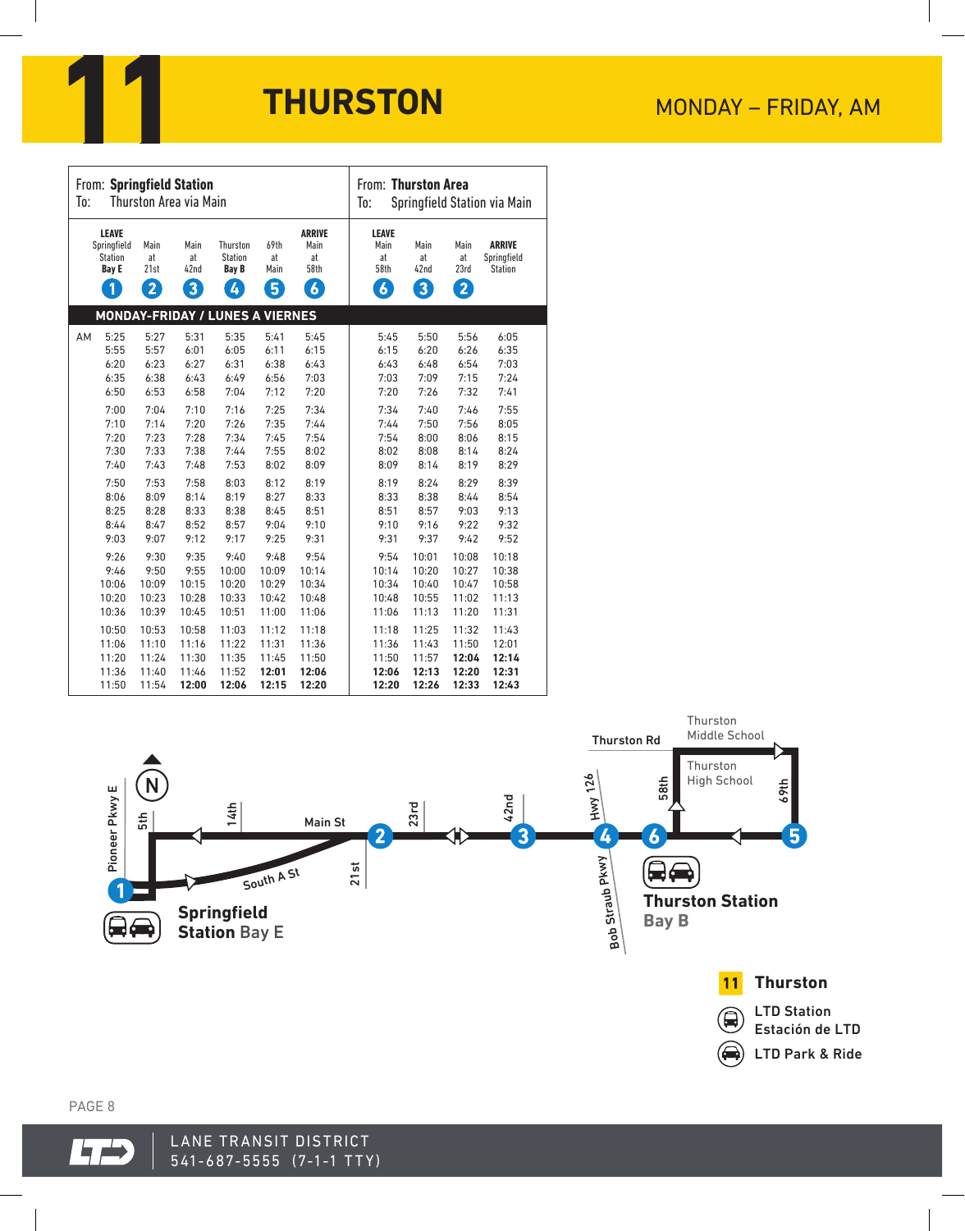

| To: | From: Springfield Station                                                     |                                | Thurston Area via Main  |                                                 |                                |                                                         | From: Thurston Area<br>To:                             |                         | Springfield Station via Main |                                                |
|-----|-------------------------------------------------------------------------------|--------------------------------|-------------------------|-------------------------------------------------|--------------------------------|---------------------------------------------------------|--------------------------------------------------------|-------------------------|------------------------------|------------------------------------------------|
|     | <b>LEAVE</b><br>Springfield<br><b>Station</b><br><b>Bay E</b><br>$\mathbf{1}$ | Main<br>at<br>21st<br>$\bf{2}$ | Main<br>at<br>42nd<br>3 | Thurston<br><b>Station</b><br><b>Bay B</b><br>4 | 69th<br>at<br>Main<br>$\bm{5}$ | <b>ARRIVE</b><br>Main<br>at<br>58th<br>$\boldsymbol{6}$ | <b>LEAVE</b><br>Main<br>at<br>58th<br>$\boldsymbol{b}$ | Main<br>at<br>42nd<br>3 | Main<br>at<br>23rd<br>2      | <b>ARRIVE</b><br>Springfield<br><b>Station</b> |
|     |                                                                               |                                |                         | <b>MONDAY-FRIDAY / LUNES A VIERNES</b>          |                                |                                                         |                                                        |                         |                              |                                                |
| AM  | 5:25                                                                          | 5:27                           | 5:31                    | 5:35                                            | 5:41                           | 5:45                                                    | 5:45                                                   | 5:50                    | 5:56                         | 6:05                                           |
|     | 5:55                                                                          | 5:57                           | 6:01                    | 6:05                                            | 6:11                           | 6:15                                                    | 6:15                                                   | 6:20                    | 6:26                         | 6:35                                           |
|     | 6:20                                                                          | 6:23                           | 6:27                    | 6:31                                            | 6:38                           | 6:43                                                    | 6:43                                                   | 6:48                    | 6:54                         | 7:03                                           |
|     | 6:35                                                                          | 6:38                           | 6:43                    | 6:49                                            | 6:56                           | 7:03                                                    | 7:03                                                   | 7:09                    | 7:15                         | 7:24                                           |
|     | 6:50                                                                          | 6:53                           | 6:58                    | 7:04                                            | 7:12                           | 7:20                                                    | 7:20                                                   | 7:26                    | 7:32                         | 7:41                                           |
|     | 7:00                                                                          | 7:04                           | 7:10                    | 7:16                                            | 7:25                           | 7:34                                                    | 7:34                                                   | 7:40                    | 7:46                         | 7:55                                           |
|     | 7:10                                                                          | 7:14                           | 7:20                    | 7:26                                            | 7:35                           | 7:44                                                    | 7:44                                                   | 7:50                    | 7:56                         | 8:05                                           |
|     | 7:20                                                                          | 7:23                           | 7:28                    | 7:34                                            | 7:45                           | 7:54                                                    | 7:54                                                   | 8:00                    | 8:06                         | 8:15                                           |
|     | 7:30                                                                          | 7:33                           | 7:38                    | 7:44                                            | 7:55                           | 8:02                                                    | 8:02                                                   | 8:08                    | 8:14                         | 8:24                                           |
|     | 7:40                                                                          | 7:43                           | 7:48                    | 7:53                                            | 8:02                           | 8:09                                                    | 8:09                                                   | 8:14                    | 8:19                         | 8:29                                           |
|     | 7:50                                                                          | 7:53                           | 7:58                    | 8:03                                            | 8:12                           | 8:19                                                    | 8:19                                                   | 8:24                    | 8:29                         | 8:39                                           |
|     | 8:06                                                                          | 8:09                           | 8:14                    | 8:19                                            | 8:27                           | 8:33                                                    | 8:33                                                   | 8:38                    | 8:44                         | 8:54                                           |
|     | 8:25                                                                          | 8:28                           | 8:33                    | 8:38                                            | 8:45                           | 8:51                                                    | 8:51                                                   | 8:57                    | 9:03                         | 9:13                                           |
|     | 8:44                                                                          | 8:47                           | 8:52                    | 8:57                                            | 9:04                           | 9:10                                                    | 9:10                                                   | 9:16                    | 9:22                         | 9:32                                           |
|     | 9:03                                                                          | 9:07                           | 9:12                    | 9:17                                            | 9:25                           | 9:31                                                    | 9:31                                                   | 9:37                    | 9:42                         | 9:52                                           |
|     | 9:26                                                                          | 9:30                           | 9:35                    | 9:40                                            | 9:48                           | 9:54                                                    | 9:54                                                   | 10:01                   | 10:08                        | 10:18                                          |
|     | 9:46                                                                          | 9:50                           | 9:55                    | 10:00                                           | 10:09                          | 10:14                                                   | 10:14                                                  | 10:20                   | 10:27                        | 10:38                                          |
|     | 10:06                                                                         | 10:09                          | 10:15                   | 10:20                                           | 10:29                          | 10:34                                                   | 10:34                                                  | 10:40                   | 10:47                        | 10:58                                          |
|     | 10:20                                                                         | 10:23                          | 10:28                   | 10:33                                           | 10:42                          | 10:48                                                   | 10:48                                                  | 10:55                   | 11:02                        | 11:13                                          |
|     | 10:36                                                                         | 10:39                          | 10:45                   | 10:51                                           | 11:00                          | 11:06                                                   | 11:06                                                  | 11:13                   | 11:20                        | 11:31                                          |
|     | 10:50                                                                         | 10:53                          | 10:58                   | 11:03                                           | 11:12                          | 11:18                                                   | 11:18                                                  | 11:25                   | 11:32                        | 11:43                                          |
|     | 11:06                                                                         | 11:10                          | 11:16                   | 11:22                                           | 11:31                          | 11:36                                                   | 11:36                                                  | 11:43                   | 11:50                        | 12:01                                          |
|     | 11:20                                                                         | 11:24                          | 11:30                   | 11:35                                           | 11:45                          | 11:50                                                   | 11:50                                                  | 11:57                   | 12:04                        | 12:14                                          |
|     | 11:36                                                                         | 11:40                          | 11:46                   | 11:52                                           | 12:01                          | 12:06                                                   | 12:06                                                  | 12:13                   | 12:20                        | 12:31                                          |
|     | 11:50                                                                         | 11:54                          | 12:00                   | 12:06                                           | 12:15                          | 12:20                                                   | 12:20                                                  | 12:26                   | 12:33                        | 12:43                                          |



PAGE 8

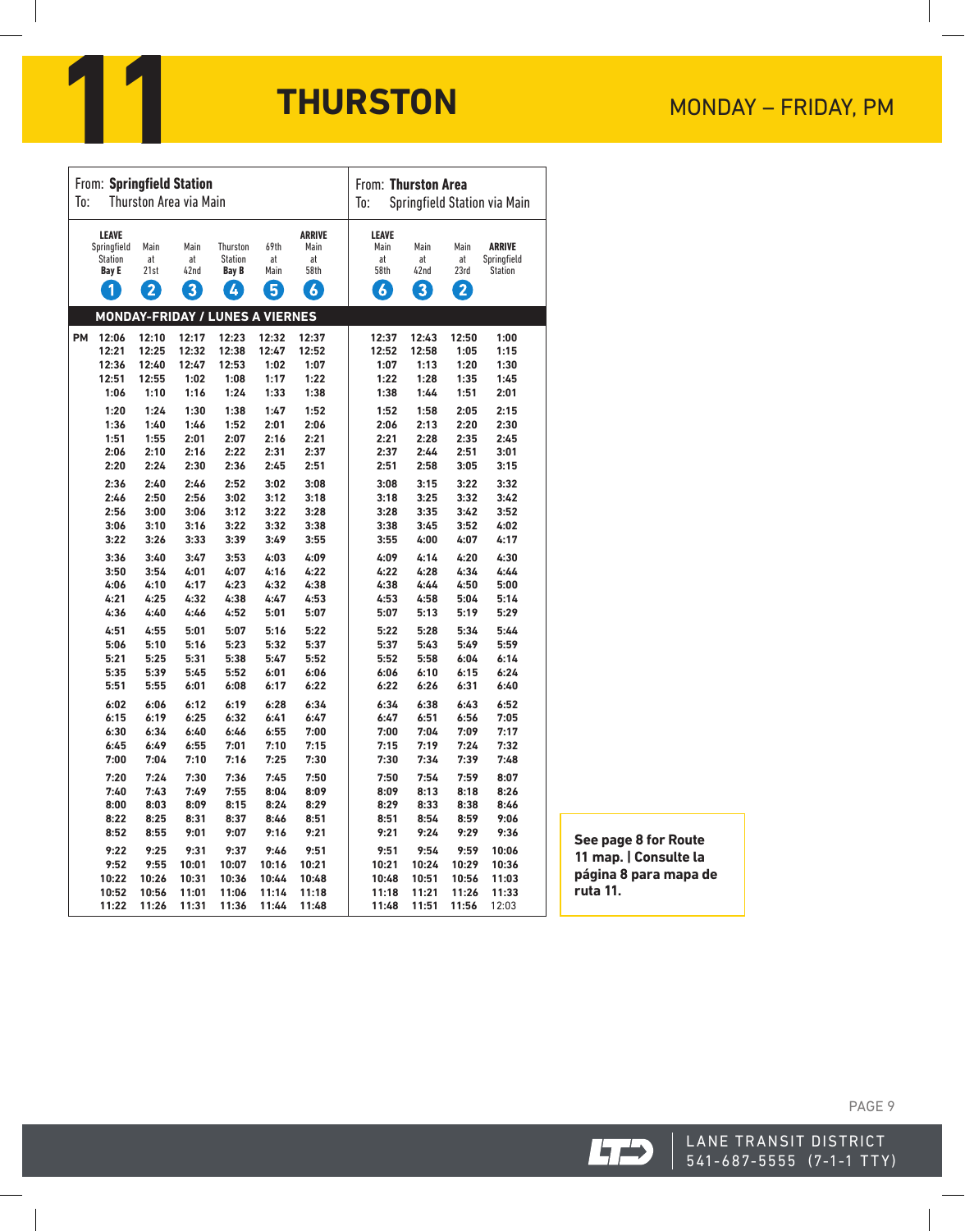

| From: Springfield Station     |                                                               |                    |                         |                                            |                    |                                     | From: Thurston Area                 |                         |                    |                                                |  |  |
|-------------------------------|---------------------------------------------------------------|--------------------|-------------------------|--------------------------------------------|--------------------|-------------------------------------|-------------------------------------|-------------------------|--------------------|------------------------------------------------|--|--|
| Thurston Area via Main<br>To: |                                                               |                    |                         |                                            |                    |                                     | Springfield Station via Main<br>To: |                         |                    |                                                |  |  |
|                               | <b>LEAVE</b><br>Springfield<br><b>Station</b><br><b>Bay E</b> | Main<br>at<br>21st | Main<br>at<br>42nd      | Thurston<br><b>Station</b><br><b>Bay B</b> | 69th<br>at<br>Main | <b>ARRIVE</b><br>Main<br>at<br>58th | <b>LEAVE</b><br>Main<br>at<br>58th  | Main<br>at<br>42nd      | Main<br>at<br>23rd | <b>ARRIVE</b><br>Springfield<br><b>Station</b> |  |  |
|                               | 1                                                             | $\mathbf{2}$       | $\overline{\mathbf{3}}$ | 4                                          | $\overline{5}$     | $\overline{6}$                      | $\boldsymbol{6}$                    | $\overline{\mathbf{3}}$ | $\mathbf{2}$       |                                                |  |  |
|                               |                                                               |                    |                         | <b>MONDAY-FRIDAY / LUNES A VIERNES</b>     |                    |                                     |                                     |                         |                    |                                                |  |  |
| <b>PM</b>                     | 12:06                                                         | 12:10              | 12:17                   | 12:23                                      | 12:32              | 12:37                               | 12:37                               | 12:43                   | 12:50              | 1:00                                           |  |  |
|                               | 12:21                                                         | 12:25              | 12:32                   | 12:38                                      | 12:47              | 12:52                               | 12:52                               | 12:58                   | 1:05               | 1:15                                           |  |  |
|                               | 12:36                                                         | 12:40              | 12:47                   | 12:53                                      | 1:02               | 1:07                                | 1:07                                | 1:13                    | 1:20               | 1:30                                           |  |  |
|                               | 12:51                                                         | 12:55              | 1:02                    | 1:08                                       | 1:17               | 1:22                                | 1:22                                | 1:28                    | 1:35               | 1:45                                           |  |  |
|                               | 1:06                                                          | 1:10               | 1:16                    | 1:24                                       | 1:33               | 1:38                                | 1:38                                | 1:44                    | 1:51               | 2:01                                           |  |  |
|                               | 1:20                                                          | 1:24               | 1:30                    | 1:38                                       | 1:47               | 1:52                                | 1:52                                | 1:58                    | 2:05               | 2:15                                           |  |  |
|                               | 1:36                                                          | 1:40               | 1:46                    | 1:52                                       | 2:01               | 2:06                                | 2:06                                | 2:13                    | 2:20               | 2:30                                           |  |  |
|                               | 1:51                                                          | 1:55               | 2:01                    | 2:07                                       | 2:16               | 2:21                                | 2:21                                | 2:28                    | 2:35               | 2:45                                           |  |  |
|                               | 2:06                                                          | 2:10               | 2:16                    | 2:22                                       | 2:31               | 2:37                                | 2:37                                | 2:44                    | 2:51               | 3:01                                           |  |  |
|                               | 2:20                                                          | 2:24               | 2:30                    | 2:36                                       | 2:45               | 2:51                                | 2:51                                | 2:58                    | 3:05               | 3:15                                           |  |  |
|                               | 2:36                                                          | 2:40               | 2:46                    | 2:52                                       | 3:02               | 3:08                                | 3:08                                | 3:15                    | 3:22               | 3:32                                           |  |  |
|                               | 2:46                                                          | 2:50               | 2:56                    | 3:02                                       | 3:12               | 3:18                                | 3:18                                | 3:25                    | 3:32               | 3:42                                           |  |  |
|                               | 2:56                                                          | 3:00               | 3:06                    | 3:12                                       | 3:22               | 3:28                                | 3:28                                | 3:35                    | 3:42               | 3:52                                           |  |  |
|                               | 3:06                                                          | 3:10               | 3:16                    | 3:22                                       | 3:32               | 3:38                                | 3:38                                | 3:45                    | 3:52               | 4:02                                           |  |  |
|                               | 3:22                                                          | 3:26               | 3:33                    | 3:39                                       | 3:49               | 3:55                                | 3:55                                | 4:00                    | 4:07               | 4:17                                           |  |  |
|                               |                                                               |                    |                         |                                            |                    |                                     |                                     |                         |                    |                                                |  |  |
|                               | 3:36                                                          | 3:40               | 3:47                    | 3:53                                       | 4:03               | 4:09                                | 4:09                                | 4:14                    | 4:20               | 4:30                                           |  |  |
|                               | 3:50                                                          | 3:54               | 4:01                    | 4:07                                       | 4:16               | 4:22                                | 4:22                                | 4:28                    | 4:34               | 4:44                                           |  |  |
|                               | 4:06                                                          | 4:10               | 4:17                    | 4:23                                       | 4:32               | 4:38                                | 4:38                                | 4:44                    | 4:50               | 5:00                                           |  |  |
|                               | 4:21                                                          | 4:25               | 4:32                    | 4:38                                       | 4:47               | 4:53                                | 4:53                                | 4:58                    | 5:04               | 5:14                                           |  |  |
|                               | 4:36                                                          | 4:40               | 4:46                    | 4:52                                       | 5:01               | 5:07                                | 5:07                                | 5:13                    | 5:19               | 5:29                                           |  |  |
|                               | 4:51                                                          | 4:55               | 5:01                    | 5:07                                       | 5:16               | 5:22                                | 5:22                                | 5:28                    | 5:34               | 5:44                                           |  |  |
|                               | 5:06                                                          | 5:10               | 5:16                    | 5:23                                       | 5:32               | 5:37                                | 5:37                                | 5:43                    | 5:49               | 5:59                                           |  |  |
|                               | 5:21                                                          | 5:25               | 5:31                    | 5:38                                       | 5:47               | 5:52                                | 5:52                                | 5:58                    | 6:04               | 6:14                                           |  |  |
|                               | 5:35                                                          | 5:39               | 5:45                    | 5:52                                       | 6:01               | 6:06                                | 6:06                                | 6:10                    | 6:15               | 6:24                                           |  |  |
|                               | 5:51                                                          | 5:55               | 6:01                    | 6:08                                       | 6:17               | 6:22                                | 6:22                                | 6:26                    | 6:31               | 6:40                                           |  |  |
|                               | 6:02                                                          | 6:06               | 6:12                    | 6:19                                       | 6:28               | 6:34                                | 6:34                                | 6:38                    | 6:43               | 6:52                                           |  |  |
|                               | 6:15                                                          | 6:19               | 6:25                    | 6:32                                       | 6:41               | 6:47                                | 6:47                                | 6:51                    | 6:56               | 7:05                                           |  |  |
|                               | 6:30                                                          | 6:34               | 6:40                    | 6:46                                       | 6:55               | 7:00                                | 7:00                                | 7:04                    | 7:09               | 7:17                                           |  |  |
|                               | 6:45                                                          | 6:49               | 6:55                    | 7:01                                       | 7:10               | 7:15                                | 7:15                                | 7:19                    | 7:24               | 7:32                                           |  |  |
|                               | 7:00                                                          | 7:04               | 7:10                    | 7:16                                       | 7:25               | 7:30                                | 7:30                                | 7:34                    | 7:39               | 7:48                                           |  |  |
|                               | 7:20                                                          | 7:24               | 7:30                    | 7:36                                       | 7:45               | 7:50                                | 7:50                                | 7:54                    | 7:59               | 8:07                                           |  |  |
|                               | 7:40                                                          | 7:43               | 7:49                    | 7:55                                       | 8:04               | 8:09                                | 8:09                                | 8:13                    | 8:18               | 8:26                                           |  |  |
|                               | 8:00                                                          | 8:03               | 8:09                    | 8:15                                       | 8:24               | 8:29                                | 8:29                                | 8:33                    | 8:38               | 8:46                                           |  |  |
|                               | 8:22                                                          | 8:25               | 8:31                    | 8:37                                       | 8:46               | 8:51                                | 8:51                                | 8:54                    | 8:59               | 9:06                                           |  |  |
|                               | 8:52                                                          | 8:55               | 9:01                    | 9:07                                       | 9:16               | 9:21                                | 9:21                                | 9:24                    | 9:29               | 9:36                                           |  |  |
|                               |                                                               |                    |                         | 9:37                                       |                    |                                     |                                     |                         |                    |                                                |  |  |
|                               | 9:22                                                          | 9:25               | 9:31                    |                                            | 9:46               | 9:51                                | 9:51                                | 9:54                    | 9:59               | 10:06                                          |  |  |
|                               | 9:52                                                          | 9:55               | 10:01                   | 10:07                                      | 10:16              | 10:21                               | 10:21                               | 10:24                   | 10:29              | 10:36                                          |  |  |
|                               | 10:22<br>10:52                                                | 10:26<br>10:56     | 10:31<br>11:01          | 10:36<br>11:06                             | 10:44<br>11:14     | 10:48<br>11:18                      | 10:48<br>11:18                      | 10:51<br>11:21          | 10:56<br>11:26     | 11:03<br>11:33                                 |  |  |
|                               |                                                               |                    |                         |                                            |                    |                                     |                                     |                         |                    |                                                |  |  |
|                               | 11:22                                                         | 11:26              | 11:31                   | 11:36                                      | 11:44              | 11:48                               | 11:48                               | 11:51                   | 11:56              | 12:03                                          |  |  |

**See page 8 for Route 11 map. | Consulte la página 8 para mapa de ruta 11.**



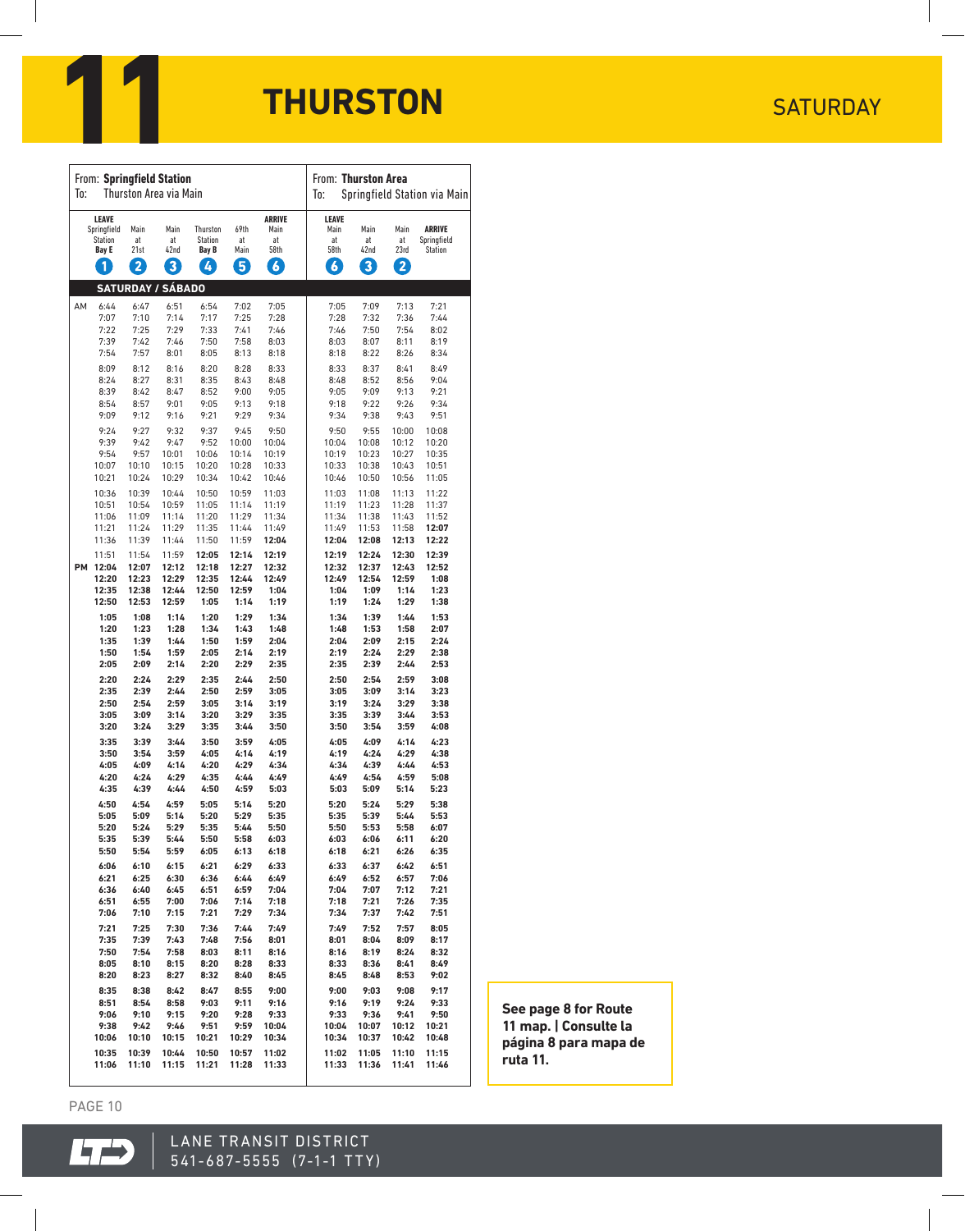

| From: Springfield Station |                                                      |                                              |                                              |                                              |                                              |                                                         | From: Thurston Area                             |                                              |                                              |                                              |  |
|---------------------------|------------------------------------------------------|----------------------------------------------|----------------------------------------------|----------------------------------------------|----------------------------------------------|---------------------------------------------------------|-------------------------------------------------|----------------------------------------------|----------------------------------------------|----------------------------------------------|--|
| Thurston Area via Main    |                                                      |                                              |                                              |                                              |                                              |                                                         | Springfield Station via Main                    |                                              |                                              |                                              |  |
| To:                       |                                                      |                                              |                                              |                                              |                                              |                                                         | To:                                             |                                              |                                              |                                              |  |
|                           | LEAVE<br>Springfield<br>Station<br><b>Bay E</b><br>1 | Main<br>at<br>21st<br>$\mathbf{2}$           | Main<br>at<br>42nd<br>$\boxed{3}$            | Thurston<br>Station<br><b>Bay B</b><br>4     | 69th<br>at<br>Main<br>5                      | <b>ARRIVE</b><br>Main<br>at<br>58th<br>$\boldsymbol{6}$ | LEAVE<br>Main<br>at<br>58th<br>$\boldsymbol{6}$ | Main<br>at<br>42nd<br>$\boxed{3}$            | Main<br>at<br>23rd<br>$\mathbf{2}$           | <b>ARRIVE</b><br>Springfield<br>Station      |  |
|                           |                                                      |                                              | <b>SATURDAY / SÁBADO</b>                     |                                              |                                              |                                                         |                                                 |                                              |                                              |                                              |  |
| AM                        | 6:44                                                 | 6:47                                         | 6:51                                         | 6:54                                         | 7:02                                         | 7:05                                                    | 7:05                                            | 7:09                                         | 7:13                                         | 7:21                                         |  |
|                           | 7:07                                                 | 7:10                                         | 7:14                                         | 7:17                                         | 7:25                                         | 7:28                                                    | 7:28                                            | 7:32                                         | 7:36                                         | 7:44                                         |  |
|                           | 7:22                                                 | 7:25                                         | 7:29                                         | 7:33                                         | 7:41                                         | 7:46                                                    | 7:46                                            | 7:50                                         | 7:54                                         | 8:02                                         |  |
|                           | 7:39                                                 | 7:42                                         | 7:46                                         | 7:50                                         | 7:58                                         | 8:03                                                    | 8:03                                            | 8:07                                         | 8:11                                         | 8:19                                         |  |
|                           | 7:54                                                 | 7:57                                         | 8:01                                         | 8:05                                         | 8:13                                         | 8:18                                                    | 8:18                                            | 8:22                                         | 8:26                                         | 8:34                                         |  |
|                           | 8:09                                                 | 8:12                                         | 8:16                                         | 8:20                                         | 8:28                                         | 8:33                                                    | 8:33                                            | 8:37                                         | 8:41                                         | 8:49                                         |  |
|                           | 8:24                                                 | 8:27                                         | 8:31                                         | 8:35                                         | 8:43                                         | 8:48                                                    | 8:48                                            | 8:52                                         | 8:56                                         | 9:04                                         |  |
|                           | 8:39                                                 | 8:42                                         | 8:47                                         | 8:52                                         | 9:00                                         | 9:05                                                    | 9:05                                            | 9:09                                         | 9:13                                         | 9:21                                         |  |
|                           | 8:54                                                 | 8:57                                         | 9:01                                         | 9:05                                         | 9:13                                         | 9:18                                                    | 9:18                                            | 9:22                                         | 9:26                                         | 9:34                                         |  |
|                           | 9:09                                                 | 9:12                                         | 9:16                                         | 9:21                                         | 9:29                                         | 9:34                                                    | 9:34                                            | 9:38                                         | 9:43                                         | 9:51                                         |  |
|                           | 9:24                                                 | 9:27                                         | 9:32                                         | 9:37                                         | 9:45                                         | 9:50                                                    | 9:50                                            | 9:55                                         | 10:00                                        | 10:08                                        |  |
|                           | 9:39                                                 | 9:42                                         | 9:47                                         | 9:52                                         | 10:00                                        | 10:04                                                   | 10:04                                           | 10:08                                        | 10:12                                        | 10:20                                        |  |
|                           | 9:54                                                 | 9:57                                         | 10:01                                        | 10:06                                        | 10:14                                        | 10:19                                                   | 10:19                                           | 10:23                                        | 10:27                                        | 10:35                                        |  |
|                           | 10:07                                                | 10:10                                        | 10:15                                        | 10:20                                        | 10:28                                        | 10:33                                                   | 10:33                                           | 10:38                                        | 10:43                                        | 10:51                                        |  |
|                           | 10:21                                                | 10:24                                        | 10:29                                        | 10:34                                        | 10:42                                        | 10:46                                                   | 10:46                                           | 10:50                                        | 10:56                                        | 11:05                                        |  |
|                           | 10:36                                                | 10:39                                        | 10:44                                        | 10:50                                        | 10:59                                        | 11:03                                                   | 11:03                                           | 11:08                                        | 11:13                                        | 11:22                                        |  |
|                           | 10:51                                                | 10:54                                        | 10:59                                        | 11:05                                        | 11:14                                        | 11:19                                                   | 11:19                                           | 11:23                                        | 11:28                                        | 11:37                                        |  |
|                           | 11:06                                                | 11:09                                        | 11:14                                        | 11:20                                        | 11:29                                        | 11:34                                                   | 11:34                                           | 11:38                                        | 11:43                                        | 11:52                                        |  |
| <b>PM</b>                 | 11:21                                                | 11:24                                        | 11:29                                        | 11:35                                        | 11:44                                        | 11:49                                                   | 11:49                                           | 11:53                                        | 11:58                                        | 12:07                                        |  |
|                           | 11:36                                                | 11:39                                        | 11:44                                        | 11:50                                        | 11:59                                        | 12:04                                                   | 12:04                                           | 12:08                                        | 12:13                                        | 12:22                                        |  |
|                           | 11:51                                                | 11:54                                        | 11:59                                        | 12:05                                        | 12:14                                        | 12:19                                                   | 12:19                                           | 12:24                                        | 12:30                                        | 12:39                                        |  |
|                           | 12:04                                                | 12:07                                        | 12:12                                        | 12:18                                        | 12:27                                        | 12:32                                                   | 12:32                                           | 12:37                                        | 12:43                                        | 12:52                                        |  |
|                           | 12:20                                                | 12:23                                        | 12:29                                        | 12:35                                        | 12:44                                        | 12:49                                                   | 12:49                                           | 12:54                                        | 12:59                                        | 1:08                                         |  |
|                           | 12:35                                                | 12:38                                        | 12:44                                        | 12:50                                        | 12:59                                        | 1:04                                                    | 1:04                                            | 1:09                                         | 1:14                                         | 1:23                                         |  |
|                           | 12:50                                                | 12:53                                        | 12:59                                        | 1:05                                         | 1:14                                         | 1:19                                                    | 1:19                                            | 1:24                                         | 1:29                                         | 1:38                                         |  |
|                           | 1:05                                                 | 1:08                                         | 1:14                                         | 1:20                                         | 1:29                                         | 1:34                                                    | 1:34                                            | 1:39                                         | 1:44                                         | 1:53                                         |  |
|                           | 1:20                                                 | 1:23                                         | 1:28                                         | 1:34                                         | 1:43                                         | 1:48                                                    | 1:48                                            | 1:53                                         | 1:58                                         | 2:07                                         |  |
|                           | 1:35                                                 | 1:39                                         | 1:44                                         | 1:50                                         | 1:59                                         | 2:04                                                    | 2:04                                            | 2:09                                         | 2:15                                         | 2:24                                         |  |
|                           | 1:50                                                 | 1:54                                         | 1:59                                         | 2:05                                         | 2:14                                         | 2:19                                                    | 2:19                                            | 2:24                                         | 2:29                                         | 2:38                                         |  |
|                           | 2:05                                                 | 2:09                                         | 2:14                                         | 2:20                                         | 2:29                                         | 2:35                                                    | 2:35                                            | 2:39                                         | 2:44                                         | 2:53                                         |  |
|                           | 2:20                                                 | 2:24                                         | 2:29                                         | 2:35                                         | 2:44                                         | 2:50                                                    | 2:50                                            | 2:54                                         | 2:59                                         | 3:08                                         |  |
|                           | 2:35                                                 | 2:39                                         | 2:44                                         | 2:50                                         | 2:59                                         | 3:05                                                    | 3:05                                            | 3:09                                         | 3:14                                         | 3:23                                         |  |
|                           | 2:50                                                 | 2:54                                         | 2:59                                         | 3:05                                         | 3:14                                         | 3:19                                                    | 3:19                                            | 3:24                                         | 3:29                                         | 3:38                                         |  |
|                           | 3:05                                                 | 3:09                                         | 3:14                                         | 3:20                                         | 3:29                                         | 3:35                                                    | 3:35                                            | 3:39                                         | 3:44                                         | 3:53                                         |  |
|                           | 3:20                                                 | 3:24                                         | 3:29                                         | 3:35                                         | 3:44                                         | 3:50                                                    | 3:50                                            | 3:54                                         | 3:59                                         | 4:08                                         |  |
|                           | 3:35                                                 | 3:39                                         | 3:44                                         | 3:50                                         | 3:59                                         | 4:05                                                    | 4:05                                            | 4:09                                         | 4:14                                         | 4:23                                         |  |
|                           | 3:50                                                 | 3:54                                         | 3:59                                         | 4:05                                         | 4:14                                         | 4:19                                                    | 4:19                                            | 4:24                                         | 4:29                                         | 4:38                                         |  |
|                           | 4:05<br>4:20<br>4:35<br>4:50<br>5:05<br>5:20         | 4:09<br>4:24<br>4:39<br>4:54<br>5:09<br>5:24 | 4:14<br>4:29<br>4:44<br>4:59<br>5:14<br>5:29 | 4:20<br>4:35<br>4:50<br>5:05<br>5:20<br>5:35 | 4:29<br>4:44<br>4:59<br>5:14<br>5:29         | 4:34<br>4:49<br>5:03<br>5:20<br>5:35<br>5:50            | 4:34<br>4:49<br>5:03<br>5:20<br>5:35<br>5:50    | 4:39<br>4:54<br>5:09<br>5:24<br>5:39         | 4:44<br>4:59<br>5:14<br>5:29<br>5:44<br>5:58 | 4:53<br>5:08<br>5:23<br>5:38<br>5:53<br>6:07 |  |
|                           | 5:35<br>5:50<br>6:06<br>6:21<br>6:36                 | 5:39<br>5:54<br>6:10<br>6:25<br>6:40         | 5:44<br>5:59<br>6:15<br>6:30<br>6:45         | 5:50<br>6:05<br>6:21<br>6:36<br>6:51         | 5:44<br>5:58<br>6:13<br>6:29<br>6:44<br>6:59 | 6:03<br>6:18<br>6:33<br>6:49<br>7:04                    | 6:03<br>6:18<br>6:33<br>6:49<br>7:04            | 5:53<br>6:06<br>6:21<br>6:37<br>6:52<br>7:07 | 6:11<br>6:26<br>6:42<br>6:57<br>7:12         | 6:20<br>6:35<br>6:51<br>7:06<br>7:21         |  |
|                           | 6:51                                                 | 6:55                                         | 7:00                                         | 7:06                                         | 7:14                                         | 7:18                                                    | 7:18                                            | 7:21                                         | 7:26                                         | 7:35                                         |  |
|                           | 7:06                                                 | 7:10                                         | 7:15                                         | 7:21                                         | 7:29                                         | 7:34                                                    | 7:34                                            | 7:37                                         | 7:42                                         | 7:51                                         |  |
|                           | 7:21                                                 | 7:25                                         | 7:30                                         | 7:36                                         | 7:44                                         | 7:49                                                    | 7:49                                            | 7:52                                         | 7:57                                         | 8:05                                         |  |
|                           | 7:35                                                 | 7:39                                         | 7:43                                         | 7:48                                         | 7:56                                         | 8:01                                                    | 8:01                                            | 8:04                                         | 8:09                                         | 8:17                                         |  |
|                           | 7:50                                                 | 7:54                                         | 7:58                                         | 8:03                                         | 8:11                                         | 8:16                                                    | 8:16                                            | 8:19                                         | 8:24                                         | 8:32                                         |  |
|                           | 8:05                                                 | 8:10                                         | 8:15                                         | 8:20                                         | 8:28                                         | 8:33                                                    | 8:33                                            | 8:36                                         | 8:41                                         | 8:49                                         |  |
|                           | 8:20                                                 | 8:23                                         | 8:27                                         | 8:32                                         | 8:40                                         | 8:45                                                    | 8:45                                            | 8:48                                         | 8:53                                         | 9:02                                         |  |
|                           | 8:35                                                 | 8:38                                         | 8:42                                         | 8:47                                         | 8:55                                         | 9:00                                                    | 9:00                                            | 9:03                                         | 9:08                                         | 9:17                                         |  |
|                           | 8:51                                                 | 8:54                                         | 8:58                                         | 9:03                                         | 9:11                                         | 9:16                                                    | 9:16                                            | 9:19                                         | 9:24                                         | 9:33                                         |  |
|                           | 9:06                                                 | 9:10                                         | 9:15                                         | 9:20                                         | 9:28                                         | 9:33                                                    | 9:33                                            | 9:36                                         | 9:41                                         | 9:50                                         |  |
|                           | 9:38                                                 | 9:42                                         | 9:46                                         | 9:51                                         | 9:59                                         | 10:04                                                   | 10:04                                           | 10:07                                        | 10:12                                        | 10:21                                        |  |
|                           | 10:06                                                | 10:10                                        | 10:15                                        | 10:21                                        | 10:29                                        | 10:34                                                   | 10:34                                           | 10:37                                        | 10:42                                        | 10:48                                        |  |
|                           | 10:35                                                | 10:39                                        | 10:44                                        | 10:50                                        | 10:57                                        | 11:02                                                   | 11:02                                           | 11:05                                        | 11:10                                        | 11:15                                        |  |
|                           | 11:06                                                | 11:10                                        | 11:15                                        | 11:21                                        | 11:28                                        | 11:33                                                   | 11:33                                           | 11:36                                        | 11:41                                        | 11:46                                        |  |

**See page 8 for Route 11 map. | Consulte la página 8 para mapa de ruta 11.**

PAGE 10